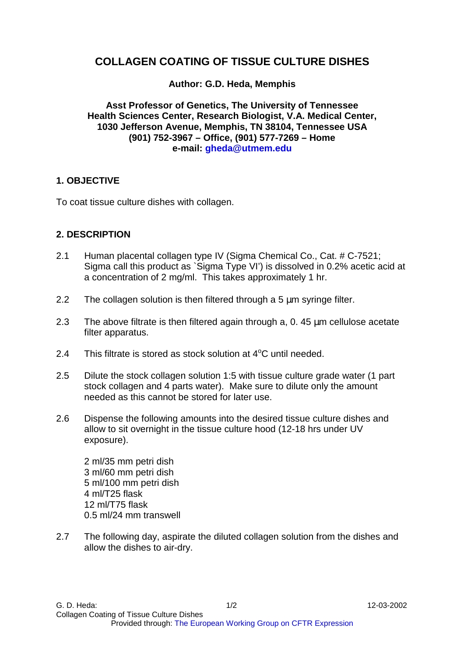## **COLLAGEN COATING OF TISSUE CULTURE DISHES**

## **Author: G.D. Heda, Memphis**

**Asst Professor of Genetics, The University of Tennessee Health Sciences Center, Research Biologist, V.A. Medical Center, 1030 Jefferson Avenue, Memphis, TN 38104, Tennessee USA (901) 752-3967 – Office, (901) 577-7269 – Home e-mail: gheda@utmem.edu**

### **1. OBJECTIVE**

To coat tissue culture dishes with collagen.

### **2. DESCRIPTION**

- 2.1 Human placental collagen type IV (Sigma Chemical Co., Cat. # C-7521; Sigma call this product as `Sigma Type VI') is dissolved in 0.2% acetic acid at a concentration of 2 mg/ml. This takes approximately 1 hr.
- 2.2 The collagen solution is then filtered through a 5 um syringe filter.
- 2.3 The above filtrate is then filtered again through a, 0.45 um cellulose acetate filter apparatus.
- 2.4 This filtrate is stored as stock solution at  $4^{\circ}$ C until needed.
- 2.5 Dilute the stock collagen solution 1:5 with tissue culture grade water (1 part stock collagen and 4 parts water). Make sure to dilute only the amount needed as this cannot be stored for later use.
- 2.6 Dispense the following amounts into the desired tissue culture dishes and allow to sit overnight in the tissue culture hood (12-18 hrs under UV exposure).

2 ml/35 mm petri dish 3 ml/60 mm petri dish 5 ml/100 mm petri dish 4 ml/T25 flask 12 ml/T75 flask 0.5 ml/24 mm transwell

2.7 The following day, aspirate the diluted collagen solution from the dishes and allow the dishes to air-dry.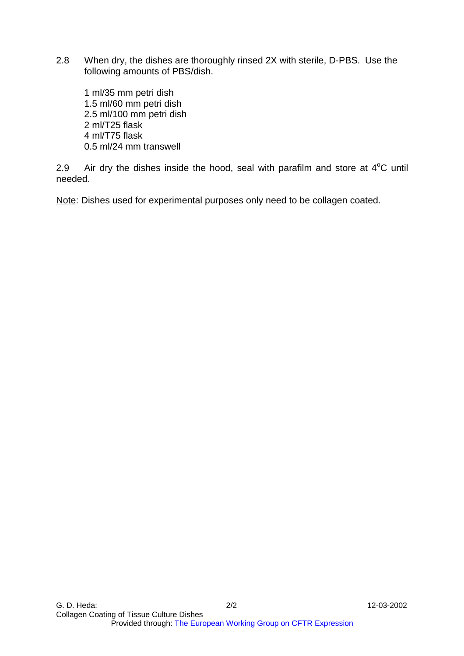2.8 When dry, the dishes are thoroughly rinsed 2X with sterile, D-PBS. Use the following amounts of PBS/dish.

1 ml/35 mm petri dish 1.5 ml/60 mm petri dish 2.5 ml/100 mm petri dish 2 ml/T25 flask 4 ml/T75 flask 0.5 ml/24 mm transwell

2.9 Air dry the dishes inside the hood, seal with parafilm and store at  $4^{\circ}$ C until needed.

Note: Dishes used for experimental purposes only need to be collagen coated.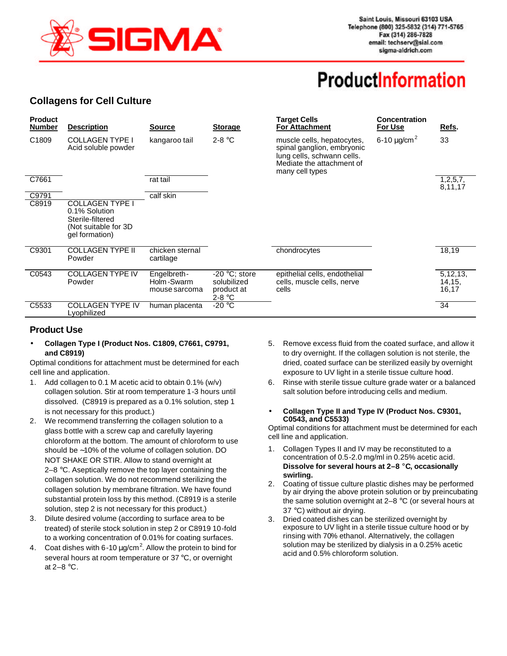

# **ProductInformation**

### **Collagens for Cell Culture**

| <b>Product</b><br><b>Number</b> | <b>Description</b>                                                                                     | <b>Source</b>                              | <b>Storage</b>                                           | <b>Target Cells</b><br><b>For Attachment</b>                                                                                           | <b>Concentration</b><br>For Use | Refs.                        |
|---------------------------------|--------------------------------------------------------------------------------------------------------|--------------------------------------------|----------------------------------------------------------|----------------------------------------------------------------------------------------------------------------------------------------|---------------------------------|------------------------------|
| C <sub>1809</sub>               | <b>COLLAGEN TYPE I</b><br>Acid soluble powder                                                          | kangaroo tail                              | $2-8 °C$                                                 | muscle cells, hepatocytes,<br>spinal ganglion, embryonic<br>lung cells, schwann cells.<br>Mediate the attachment of<br>many cell types | 6-10 $\mu$ g/cm <sup>2</sup>    | 33                           |
| C7661                           |                                                                                                        | rat tail                                   |                                                          |                                                                                                                                        |                                 | 1,2,5,7,<br>8,11,17          |
| C9791                           |                                                                                                        | calf skin                                  |                                                          |                                                                                                                                        |                                 |                              |
| C8919                           | <b>COLLAGEN TYPE I</b><br>0.1% Solution<br>Sterile-filtered<br>(Not suitable for 3D)<br>gel formation) |                                            |                                                          |                                                                                                                                        |                                 |                              |
| C9301                           | <b>COLLAGEN TYPE II</b><br>Powder                                                                      | chicken sternal<br>cartilage               |                                                          | chondrocytes                                                                                                                           |                                 | 18,19                        |
| C0543                           | <b>COLLAGEN TYPE IV</b><br>Powder                                                                      | Engelbreth-<br>Holm-Swarm<br>mouse sarcoma | $-20$ °C; store<br>solubilized<br>product at<br>$2-8 °C$ | epithelial cells, endothelial<br>cells, muscle cells, nerve<br>cells                                                                   |                                 | 5,12,13,<br>14, 15,<br>16,17 |
| C5533                           | <b>COLLAGEN TYPE IV</b><br>Lyophilized                                                                 | human placenta                             | -20 °C                                                   |                                                                                                                                        |                                 | 34                           |

### **Product Use**

• **Collagen Type I (Product Nos. C1809, C7661, C9791, and C8919)**

Optimal conditions for attachment must be determined for each cell line and application.

- 1. Add collagen to 0.1 M acetic acid to obtain 0.1% (w/v) collagen solution. Stir at room temperature 1-3 hours until dissolved. (C8919 is prepared as a 0.1% solution, step 1 is not necessary for this product.)
- 2. We recommend transferring the collagen solution to a glass bottle with a screw cap and carefully layering chloroform at the bottom. The amount of chloroform to use should be ∼10% of the volume of collagen solution. DO NOT SHAKE OR STIR. Allow to stand overnight at 2–8 °C. Aseptically remove the top layer containing the collagen solution. We do not recommend sterilizing the collagen solution by membrane filtration. We have found substantial protein loss by this method. (C8919 is a sterile solution, step 2 is not necessary for this product.)
- 3. Dilute desired volume (according to surface area to be treated) of sterile stock solution in step 2 or C8919 10-fold to a working concentration of 0.01% for coating surfaces.
- 4. Coat dishes with 6-10  $\mu$ g/cm<sup>2</sup>. Allow the protein to bind for several hours at room temperature or 37 °C, or overnight at 2–8 °C.
- 5. Remove excess fluid from the coated surface, and allow it to dry overnight. If the collagen solution is not sterile, the dried, coated surface can be sterilized easily by overnight exposure to UV light in a sterile tissue culture hood.
- Rinse with sterile tissue culture grade water or a balanced salt solution before introducing cells and medium.
- **Collagen Type II and Type IV (Product Nos. C9301, C0543, and C5533)**

Optimal conditions for attachment must be determined for each cell line and application.

- 1. Collagen Types II and IV may be reconstituted to a concentration of 0.5-2.0 mg/ml in 0.25% acetic acid. **Dissolve for several hours at 2–8 °C, occasionally swirling.**
- 2. Coating of tissue culture plastic dishes may be performed by air drying the above protein solution or by preincubating the same solution overnight at 2–8 °C (or several hours at 37 °C) without air drying.
- 3. Dried coated dishes can be sterilized overnight by exposure to UV light in a sterile tissue culture hood or by rinsing with 70% ethanol. Alternatively, the collagen solution may be sterilized by dialysis in a 0.25% acetic acid and 0.5% chloroform solution.